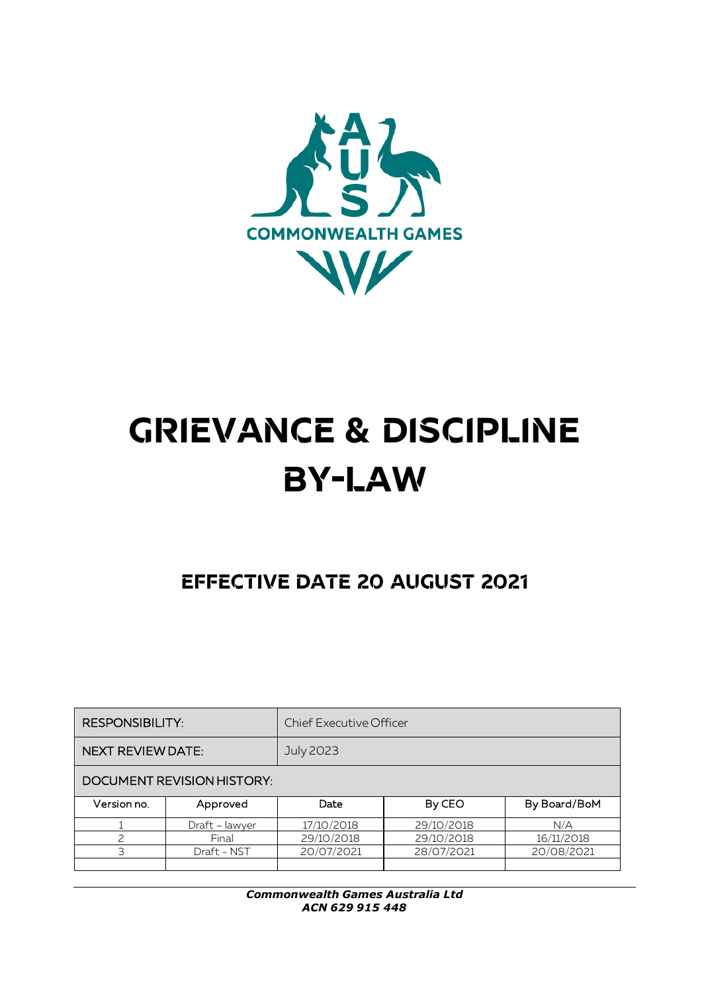

# **GRIEVANCE & DISCIPLINE BY-LAW**

# **EFFECTIVE DATE 20 AUGUST 2021**

| <b>RESPONSIBILITY:</b>            |                | <b>Chief Executive Officer</b> |            |              |
|-----------------------------------|----------------|--------------------------------|------------|--------------|
| <b>NEXT REVIEW DATE:</b>          |                | <b>July 2023</b>               |            |              |
| <b>DOCUMENT REVISION HISTORY:</b> |                |                                |            |              |
| Version no.                       | Approved       | Date                           | By CEO     | By Board/BoM |
|                                   | Draft - lawyer | 17/10/2018                     | 29/10/2018 | N/A          |
| 2                                 | Final          | 29/10/2018                     | 29/10/2018 | 16/11/2018   |
| 3                                 | Draft - NST    | 20/07/2021                     | 28/07/2021 | 20/08/2021   |
|                                   |                |                                |            |              |

*Commonwealth Games Australia Ltd ACN 629 915 448*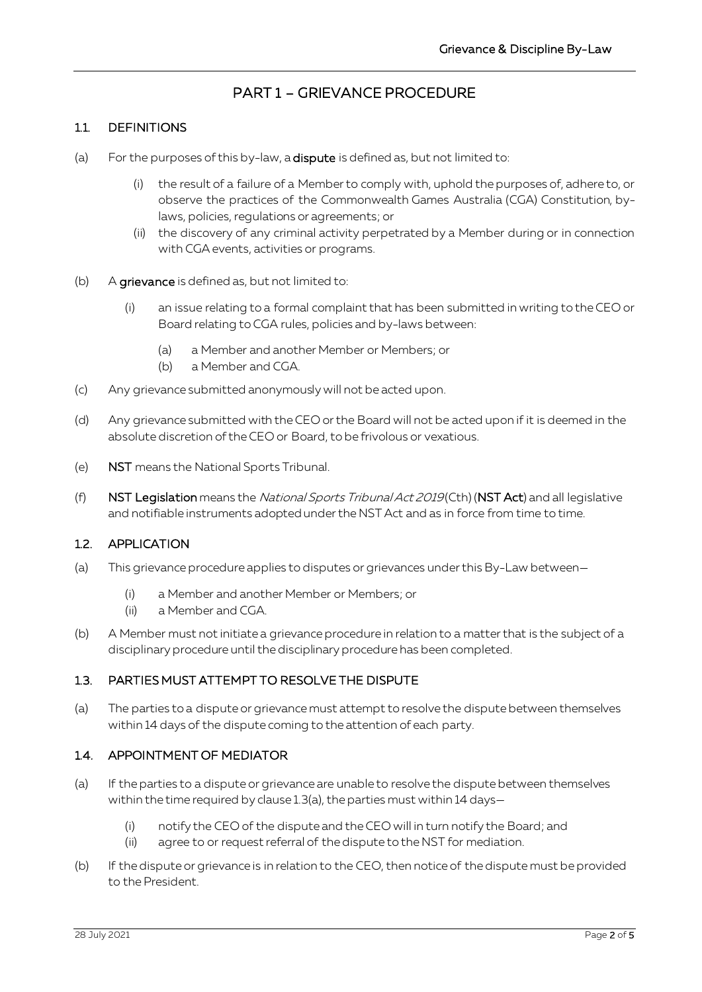### PART 1 – GRIEVANCE PROCEDURE

#### 11 DEFINITIONS

- (a) For the purposes of this by-law, a **dispute** is defined as, but not limited to:
	- (i) the result of a failure of a Member to comply with, uphold the purposes of, adhere to, or observe the practices of the Commonwealth Games Australia (CGA) Constitution, bylaws, policies, regulations or agreements; or
	- (ii) the discovery of any criminal activity perpetrated by a Member during or in connection with CGA events, activities or programs.
- (b) A grievance is defined as, but not limited to:
	- (i) an issue relating to a formal complaintthat has been submitted in writing to the CEO or Board relating to CGA rules, policies and by-laws between:
		- (a) a Member and another Member or Members; or
		- (b) a Member and CGA.
- (c) Any grievance submitted anonymously will not be acted upon.
- (d) Any grievance submitted with the CEO or the Board will not be acted upon if it is deemed in the absolute discretion of the CEO or Board, to be frivolous or vexatious.
- (e) NST means the National Sports Tribunal.
- (f) NST Legislation means the National Sports Tribunal Act 2019(Cth) (NST Act) and all legislative and notifiable instruments adopted under the NST Act and as in force from time to time.

#### 1.2. APPLICATION

- (a) This grievance procedure applies to disputes or grievances under this By-Law between—
	- (i) a Member and another Member or Members; or
	- (ii) a Member and CGA.
- (b) A Member must not initiate a grievance procedure in relation to a matter that is the subject of a disciplinary procedure until the disciplinary procedure has been completed.

#### 1.3. PARTIES MUST ATTEMPT TO RESOLVE THE DISPUTE

<span id="page-1-0"></span>(a) The parties to a dispute or grievance must attempt to resolve the dispute between themselves within 14 days of the dispute coming to the attention of each party.

#### 1.4. APPOINTMENT OF MEDIATOR

- (a) If the parties to a dispute or grievance are unable to resolve the dispute between themselves within the time required by claus[e 1.3\(a\),](#page-1-0) the parties must within 14 days—
	- (i) notify the CEO of the dispute and the CEO will in turn notify the Board; and
	- (ii) agree to or request referral of the dispute to the NST for mediation.
- (b) If the dispute or grievance is in relation to the CEO, then notice of the dispute must be provided to the President.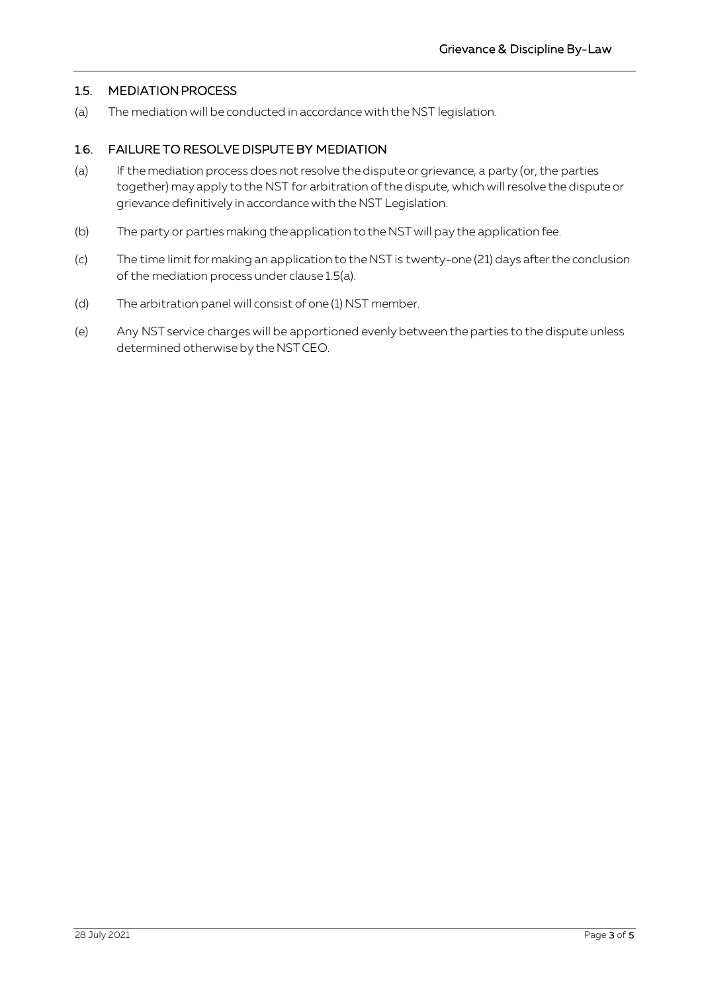#### 1.5. MEDIATION PROCESS

<span id="page-2-0"></span>(a) The mediation will be conducted in accordance with the NST legislation.

#### 1.6. FAILURE TO RESOLVE DISPUTE BY MEDIATION

- (a) If the mediation process does not resolve the dispute or grievance, a party (or, the parties together) may apply to the NST for arbitration of the dispute, which will resolve the dispute or grievance definitively in accordance with the NST Legislation.
- (b) The party or parties making the application to the NST will pay the application fee.
- (c) The time limit for making an application to the NST is twenty-one (21) days after the conclusion of the mediation process under claus[e 1.5\(a\).](#page-2-0)
- (d) The arbitration panel will consist of one (1) NST member.
- (e) Any NST service charges will be apportioned evenly between the parties to the dispute unless determined otherwise by the NST CEO.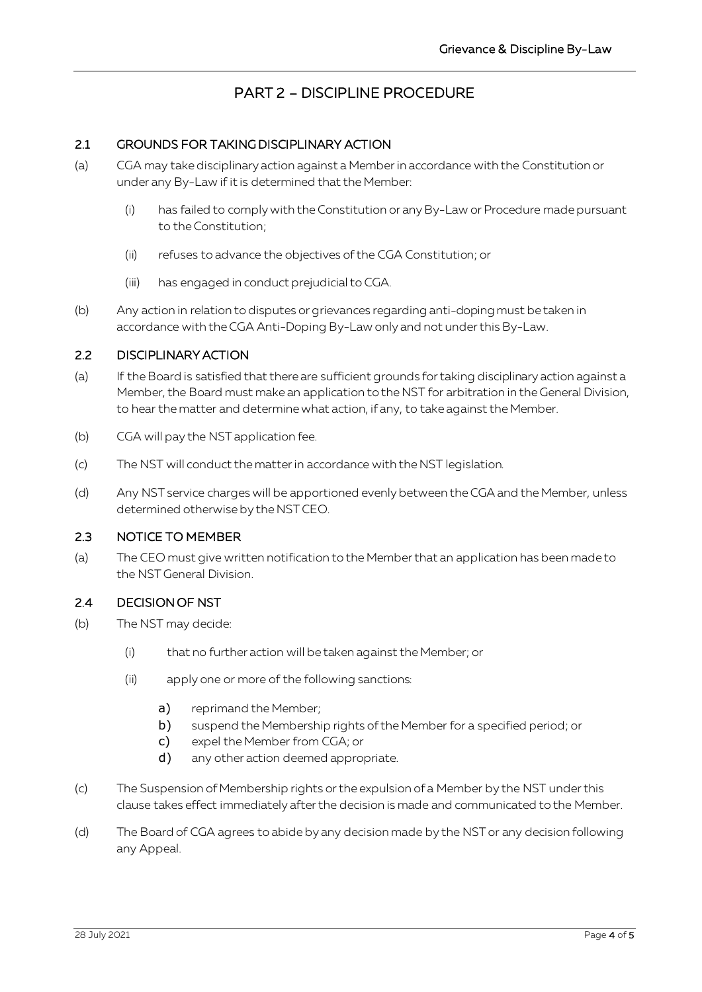## PART 2 – DISCIPLINE PROCEDURE

#### 2.1 GROUNDS FOR TAKING DISCIPLINARY ACTION

- (a) CGA may take disciplinary action against a Member in accordance with the Constitution or under any By-Law if it is determined that the Member:
	- (i) has failed to comply with the Constitution or any By-Law or Procedure made pursuant to the Constitution;
	- (ii) refuses to advance the objectives of the CGA Constitution; or
	- (iii) has engaged in conduct prejudicial to CGA.
- (b) Any action in relation to disputes or grievances regarding anti-doping must be taken in accordance with the CGA Anti-Doping By-Law only and not under this By-Law.

#### 2.2 DISCIPLINARY ACTION

- (a) If the Board is satisfied that there are sufficient grounds for taking disciplinary action against a Member, the Board must make an application to the NST for arbitration in the General Division, to hear the matter and determine what action, if any, to take against the Member.
- (b) CGA will pay the NST application fee.
- (c) The NST will conduct the matter in accordance with the NST legislation.
- (d) Any NST service charges will be apportioned evenly between the CGA and the Member, unless determined otherwise by the NST CEO.

#### 2.3 NOTICE TO MEMBER

(a) The CEO must give written notification to the Memberthat an application has been made to the NST General Division.

#### 2.4 DECISION OF NST

- (b) The NST may decide:
	- (i) that no further action will be taken against the Member; or
	- (ii) apply one or more of the following sanctions:
		- a) reprimand the Member;
		- b) suspend the Membership rights of the Member for a specified period; or
		- c) expel the Member from CGA; or
		- d) any other action deemed appropriate.
- (c) The Suspension of Membership rights or the expulsion of a Member by the NST under this clause takes effect immediately after the decision is made and communicated to the Member.
- (d) The Board of CGA agrees to abide by any decision made by the NST or any decision following any Appeal.